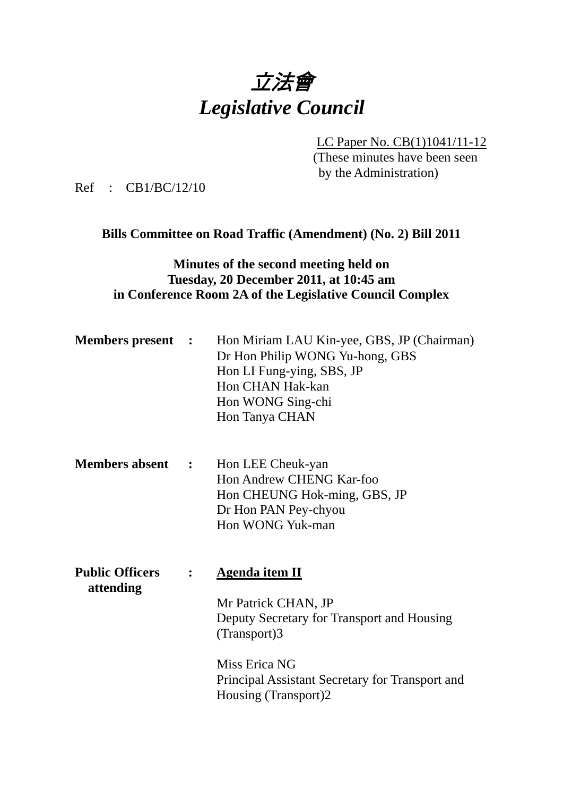

LC Paper No. CB(1)1041/11-12

(These minutes have been seen by the Administration)

Ref : CB1/BC/12/10

# **Bills Committee on Road Traffic (Amendment) (No. 2) Bill 2011**

## **Minutes of the second meeting held on Tuesday, 20 December 2011, at 10:45 am in Conference Room 2A of the Legislative Council Complex**

| <b>Members present :</b> | Hon Miriam LAU Kin-yee, GBS, JP (Chairman)<br>Dr Hon Philip WONG Yu-hong, GBS<br>Hon LI Fung-ying, SBS, JP<br>Hon CHAN Hak-kan<br>Hon WONG Sing-chi |
|--------------------------|-----------------------------------------------------------------------------------------------------------------------------------------------------|
|                          | Hon Tanya CHAN                                                                                                                                      |

- **Members absent :**  Hon LEE Cheuk-yan Hon Andrew CHENG Kar-foo Hon CHEUNG Hok-ming, GBS, JP Dr Hon PAN Pey-chyou Hon WONG Yuk-man
- **Public Officers : Agenda item II attending**  Mr Patrick CHAN, JP Deputy Secretary for Transport and Housing (Transport)3 Miss Erica NG Principal Assistant Secretary for Transport and Housing (Transport)2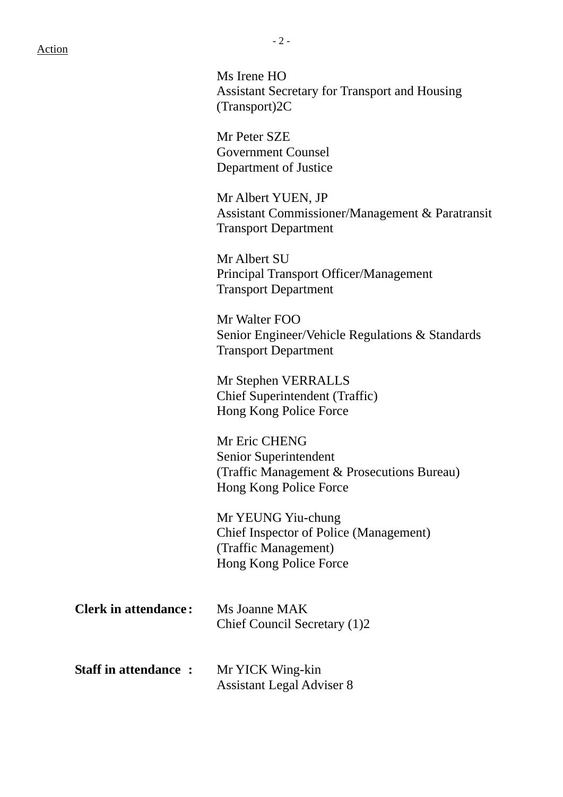#### Action

 Ms Irene HO Assistant Secretary for Transport and Housing (Transport)2C

Mr Peter SZE Government Counsel Department of Justice

Mr Albert YUEN, JP Assistant Commissioner/Management & Paratransit Transport Department

Mr Albert SU Principal Transport Officer/Management Transport Department

Mr Walter FOO Senior Engineer/Vehicle Regulations & Standards Transport Department

Mr Stephen VERRALLS Chief Superintendent (Traffic) Hong Kong Police Force

Mr Eric CHENG Senior Superintendent (Traffic Management & Prosecutions Bureau) Hong Kong Police Force

Mr YEUNG Yiu-chung Chief Inspector of Police (Management) (Traffic Management) Hong Kong Police Force

| <b>Clerk in attendance:</b> | Ms Joanne MAK<br>Chief Council Secretary (1)2        |  |
|-----------------------------|------------------------------------------------------|--|
| <b>Staff in attendance:</b> | Mr YICK Wing-kin<br><b>Assistant Legal Adviser 8</b> |  |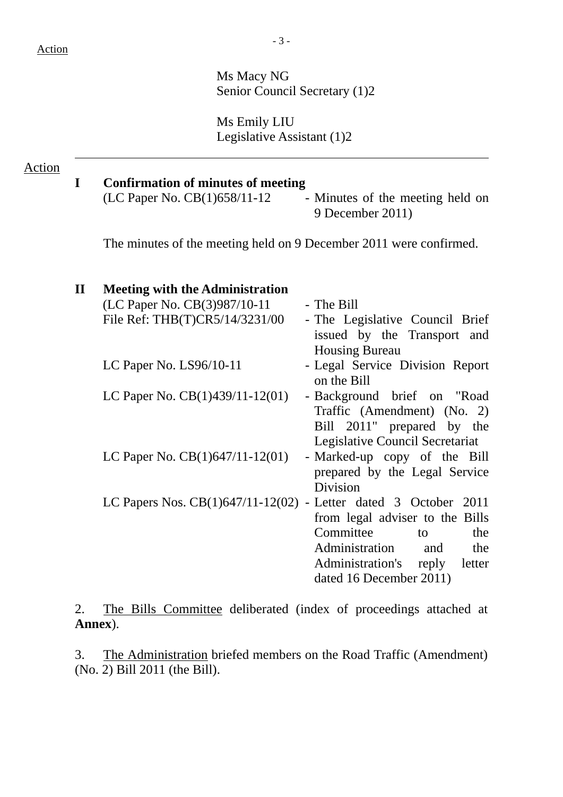Ms Macy NG Senior Council Secretary (1)2

Ms Emily LIU Legislative Assistant (1)2

### Action

# **I Confirmation of minutes of meeting**

 $(LC$  Paper No.  $CB(1)658/11-12$  - Minutes of the meeting held on 9 December 2011)

The minutes of the meeting held on 9 December 2011 were confirmed.

| $\mathbf{I}$ | <b>Meeting with the Administration</b>                            |                                 |
|--------------|-------------------------------------------------------------------|---------------------------------|
|              | (LC Paper No. CB(3)987/10-11                                      | - The Bill                      |
|              | File Ref: THB(T)CR5/14/3231/00                                    | - The Legislative Council Brief |
|              |                                                                   | issued by the Transport and     |
|              |                                                                   | <b>Housing Bureau</b>           |
|              | LC Paper No. $LS96/10-11$                                         | - Legal Service Division Report |
|              |                                                                   | on the Bill                     |
|              | LC Paper No. $CB(1)439/11-12(01)$                                 | - Background brief on "Road"    |
|              |                                                                   | Traffic (Amendment) (No. 2)     |
|              |                                                                   | Bill 2011" prepared by the      |
|              |                                                                   | Legislative Council Secretariat |
|              | LC Paper No. $CB(1)647/11-12(01)$                                 | - Marked-up copy of the Bill    |
|              |                                                                   | prepared by the Legal Service   |
|              |                                                                   | Division                        |
|              | LC Papers Nos. $CB(1)647/11-12(02)$ - Letter dated 3 October 2011 |                                 |
|              |                                                                   | from legal adviser to the Bills |
|              |                                                                   | Committee<br>the<br>to          |
|              |                                                                   | Administration and<br>the       |
|              |                                                                   | Administration's reply letter   |
|              |                                                                   | dated 16 December 2011)         |

2. The Bills Committee deliberated (index of proceedings attached at **Annex**).

3. The Administration briefed members on the Road Traffic (Amendment) (No. 2) Bill 2011 (the Bill).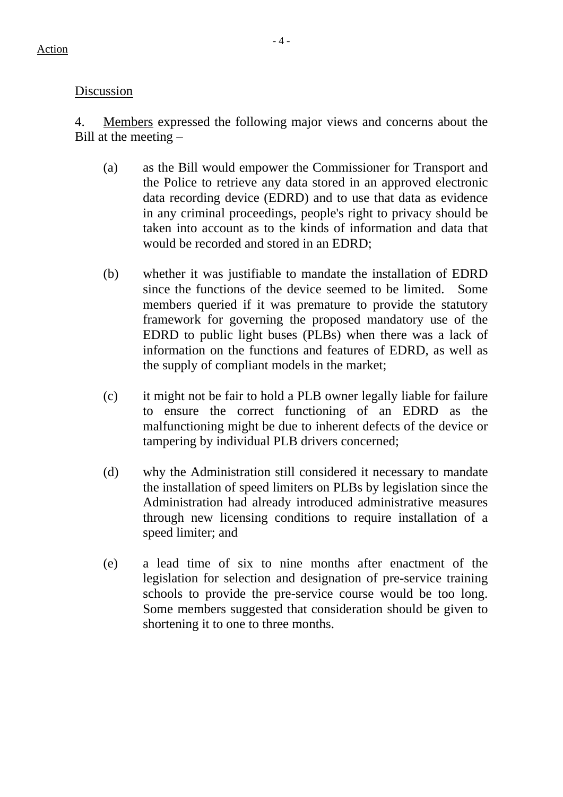# Discussion

4. Members expressed the following major views and concerns about the Bill at the meeting –

- (a) as the Bill would empower the Commissioner for Transport and the Police to retrieve any data stored in an approved electronic data recording device (EDRD) and to use that data as evidence in any criminal proceedings, people's right to privacy should be taken into account as to the kinds of information and data that would be recorded and stored in an EDRD;
- (b) whether it was justifiable to mandate the installation of EDRD since the functions of the device seemed to be limited. Some members queried if it was premature to provide the statutory framework for governing the proposed mandatory use of the EDRD to public light buses (PLBs) when there was a lack of information on the functions and features of EDRD, as well as the supply of compliant models in the market;
- (c) it might not be fair to hold a PLB owner legally liable for failure to ensure the correct functioning of an EDRD as the malfunctioning might be due to inherent defects of the device or tampering by individual PLB drivers concerned;
- (d) why the Administration still considered it necessary to mandate the installation of speed limiters on PLBs by legislation since the Administration had already introduced administrative measures through new licensing conditions to require installation of a speed limiter; and
- (e) a lead time of six to nine months after enactment of the legislation for selection and designation of pre-service training schools to provide the pre-service course would be too long. Some members suggested that consideration should be given to shortening it to one to three months.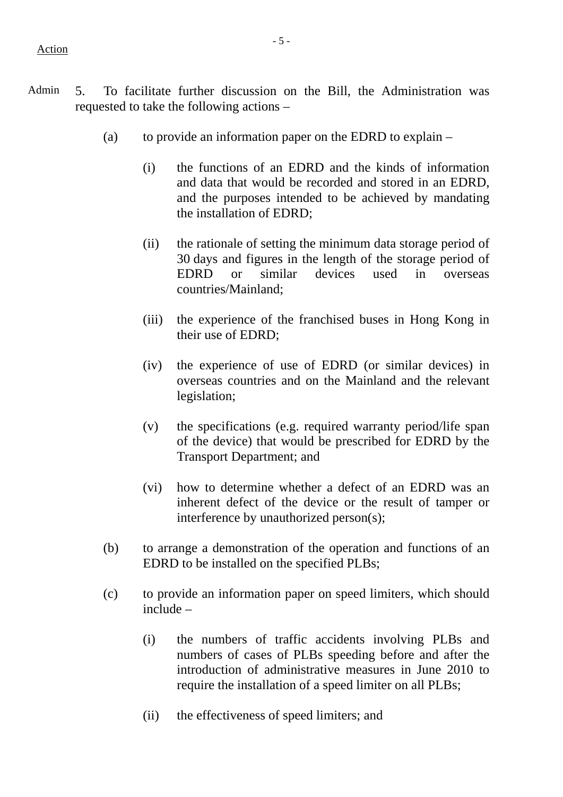- (a) to provide an information paper on the EDRD to explain
	- (i) the functions of an EDRD and the kinds of information and data that would be recorded and stored in an EDRD, and the purposes intended to be achieved by mandating the installation of EDRD;
	- (ii) the rationale of setting the minimum data storage period of 30 days and figures in the length of the storage period of EDRD or similar devices used in overseas countries/Mainland;
	- (iii) the experience of the franchised buses in Hong Kong in their use of EDRD;
	- (iv) the experience of use of EDRD (or similar devices) in overseas countries and on the Mainland and the relevant legislation;
	- (v) the specifications (e.g. required warranty period/life span of the device) that would be prescribed for EDRD by the Transport Department; and
	- (vi) how to determine whether a defect of an EDRD was an inherent defect of the device or the result of tamper or interference by unauthorized person(s);
- (b) to arrange a demonstration of the operation and functions of an EDRD to be installed on the specified PLBs;
- (c) to provide an information paper on speed limiters, which should include –
	- (i) the numbers of traffic accidents involving PLBs and numbers of cases of PLBs speeding before and after the introduction of administrative measures in June 2010 to require the installation of a speed limiter on all PLBs;
	- (ii) the effectiveness of speed limiters; and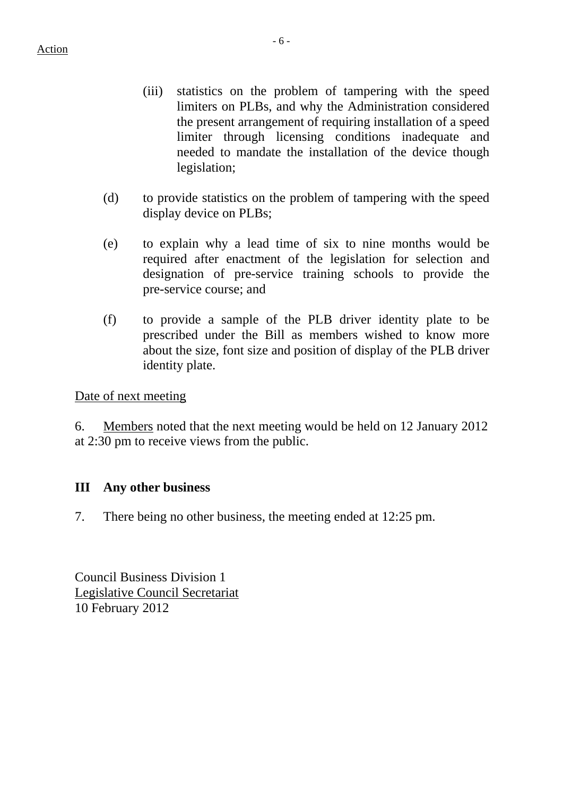- (iii) statistics on the problem of tampering with the speed limiters on PLBs, and why the Administration considered the present arrangement of requiring installation of a speed limiter through licensing conditions inadequate and needed to mandate the installation of the device though legislation;
- (d) to provide statistics on the problem of tampering with the speed display device on PLBs;
- (e) to explain why a lead time of six to nine months would be required after enactment of the legislation for selection and designation of pre-service training schools to provide the pre-service course; and
- (f) to provide a sample of the PLB driver identity plate to be prescribed under the Bill as members wished to know more about the size, font size and position of display of the PLB driver identity plate.

Date of next meeting

6. Members noted that the next meeting would be held on 12 January 2012 at 2:30 pm to receive views from the public.

# **III Any other business**

7. There being no other business, the meeting ended at 12:25 pm.

Council Business Division 1 Legislative Council Secretariat 10 February 2012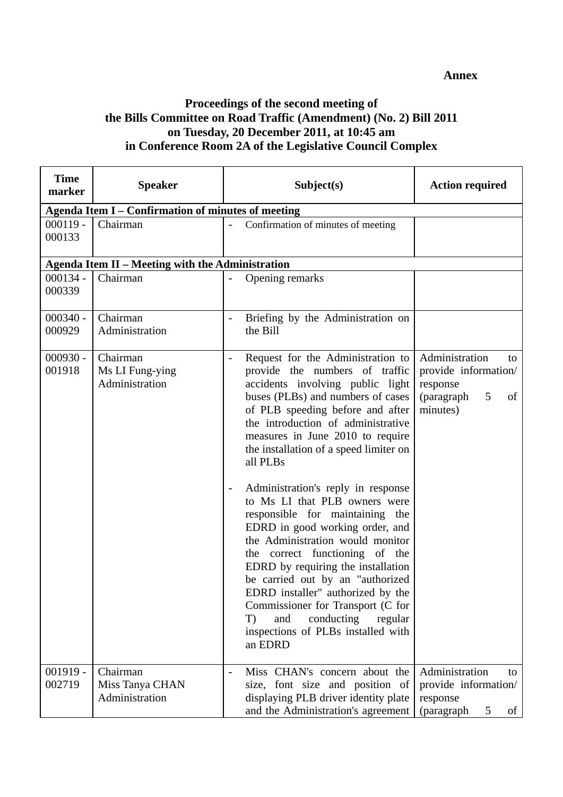#### **Annex**

## **Proceedings of the second meeting of the Bills Committee on Road Traffic (Amendment) (No. 2) Bill 2011 on Tuesday, 20 December 2011, at 10:45 am in Conference Room 2A of the Legislative Council Complex**

| <b>Time</b><br>marker | <b>Speaker</b>                                            | Subject(s)                                                                                                                                                                                                                                                                                                                                                                                                                                                                                                                                                                                                                                                                                                                                                                                                                   | <b>Action required</b>                                                                        |
|-----------------------|-----------------------------------------------------------|------------------------------------------------------------------------------------------------------------------------------------------------------------------------------------------------------------------------------------------------------------------------------------------------------------------------------------------------------------------------------------------------------------------------------------------------------------------------------------------------------------------------------------------------------------------------------------------------------------------------------------------------------------------------------------------------------------------------------------------------------------------------------------------------------------------------------|-----------------------------------------------------------------------------------------------|
|                       | <b>Agenda Item I - Confirmation of minutes of meeting</b> |                                                                                                                                                                                                                                                                                                                                                                                                                                                                                                                                                                                                                                                                                                                                                                                                                              |                                                                                               |
| $000119 -$<br>000133  | Chairman                                                  | Confirmation of minutes of meeting                                                                                                                                                                                                                                                                                                                                                                                                                                                                                                                                                                                                                                                                                                                                                                                           |                                                                                               |
|                       | Agenda Item II - Meeting with the Administration          |                                                                                                                                                                                                                                                                                                                                                                                                                                                                                                                                                                                                                                                                                                                                                                                                                              |                                                                                               |
| $000134 -$<br>000339  | Chairman                                                  | Opening remarks                                                                                                                                                                                                                                                                                                                                                                                                                                                                                                                                                                                                                                                                                                                                                                                                              |                                                                                               |
| $000340 -$<br>000929  | Chairman<br>Administration                                | Briefing by the Administration on<br>the Bill                                                                                                                                                                                                                                                                                                                                                                                                                                                                                                                                                                                                                                                                                                                                                                                |                                                                                               |
| $000930 -$<br>001918  | Chairman<br>Ms LI Fung-ying<br>Administration             | Request for the Administration to<br>$\overline{a}$<br>provide the numbers of traffic<br>accidents involving public light<br>buses (PLBs) and numbers of cases<br>of PLB speeding before and after<br>the introduction of administrative<br>measures in June 2010 to require<br>the installation of a speed limiter on<br>all PLBs<br>Administration's reply in response<br>$\overline{\phantom{a}}$<br>to Ms LI that PLB owners were<br>responsible for maintaining the<br>EDRD in good working order, and<br>the Administration would monitor<br>the correct functioning of the<br>EDRD by requiring the installation<br>be carried out by an "authorized<br>EDRD installer" authorized by the<br>Commissioner for Transport (C for<br>conducting<br>and<br>regular<br>T)<br>inspections of PLBs installed with<br>an EDRD | Administration<br>to<br>provide information/<br>response<br>(paragraph<br>5<br>of<br>minutes) |
| $001919 -$<br>002719  | Chairman<br>Miss Tanya CHAN<br>Administration             | Miss CHAN's concern about the<br>size, font size and position of<br>displaying PLB driver identity plate<br>and the Administration's agreement                                                                                                                                                                                                                                                                                                                                                                                                                                                                                                                                                                                                                                                                               | Administration<br>to<br>provide information/<br>response<br>(paragraph<br>5<br>of             |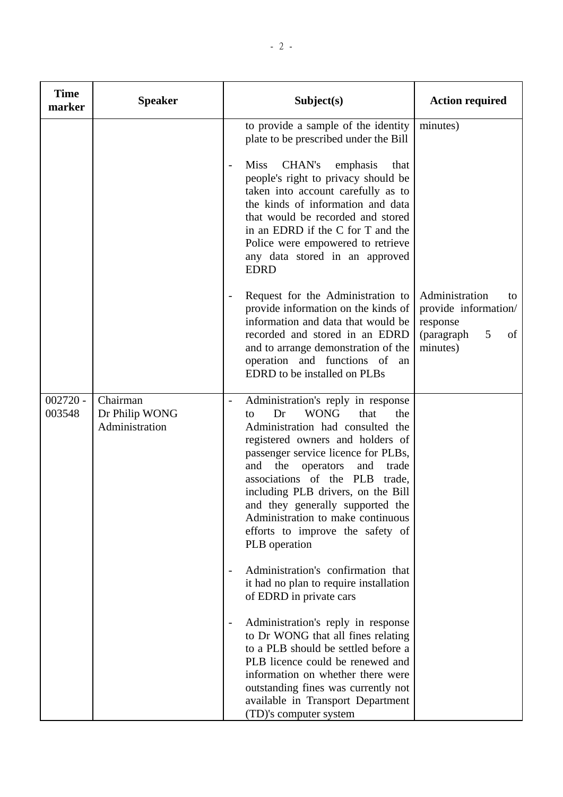| <b>Time</b><br>marker | <b>Speaker</b>                               | Subject(s)                                                                                                                                                                                                                                                                                                                                                                                                                                                                                                                                                                                                                   | <b>Action required</b>                                                                        |
|-----------------------|----------------------------------------------|------------------------------------------------------------------------------------------------------------------------------------------------------------------------------------------------------------------------------------------------------------------------------------------------------------------------------------------------------------------------------------------------------------------------------------------------------------------------------------------------------------------------------------------------------------------------------------------------------------------------------|-----------------------------------------------------------------------------------------------|
|                       |                                              | to provide a sample of the identity<br>plate to be prescribed under the Bill<br>CHAN's<br><b>Miss</b><br>emphasis<br>that<br>$\overline{\phantom{0}}$<br>people's right to privacy should be<br>taken into account carefully as to<br>the kinds of information and data<br>that would be recorded and stored<br>in an EDRD if the C for T and the<br>Police were empowered to retrieve<br>any data stored in an approved<br><b>EDRD</b>                                                                                                                                                                                      | minutes)                                                                                      |
|                       |                                              | Request for the Administration to<br>$\blacksquare$<br>provide information on the kinds of<br>information and data that would be<br>recorded and stored in an EDRD<br>and to arrange demonstration of the<br>operation and functions of an<br>EDRD to be installed on PLBs                                                                                                                                                                                                                                                                                                                                                   | Administration<br>to<br>provide information/<br>response<br>5<br>(paragraph<br>of<br>minutes) |
| $002720 -$<br>003548  | Chairman<br>Dr Philip WONG<br>Administration | Administration's reply in response<br><b>WONG</b><br>Dr<br>that<br>the<br>to<br>Administration had consulted the<br>registered owners and holders of<br>passenger service licence for PLBs,<br>and<br>the<br>operators<br>and<br>trade<br>associations of the PLB<br>trade,<br>including PLB drivers, on the Bill<br>and they generally supported the<br>Administration to make continuous<br>efforts to improve the safety of<br>PLB operation<br>Administration's confirmation that<br>it had no plan to require installation<br>of EDRD in private cars<br>Administration's reply in response<br>$\overline{\phantom{a}}$ |                                                                                               |
|                       |                                              | to Dr WONG that all fines relating<br>to a PLB should be settled before a<br>PLB licence could be renewed and<br>information on whether there were<br>outstanding fines was currently not<br>available in Transport Department<br>(TD)'s computer system                                                                                                                                                                                                                                                                                                                                                                     |                                                                                               |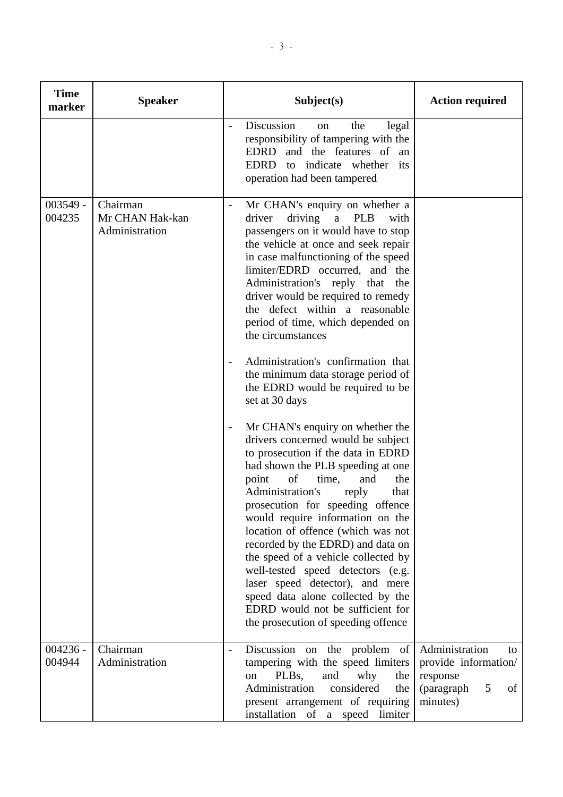| <b>Time</b><br>marker | <b>Speaker</b>                                | Subject(s)                                                                                                                                                                                                                                                                                                                                                                                                                                                                                                                                                                                                                                                                                                                                                                                                                                                                                                                                                                                                                                                                                                                                                                                                                                      | <b>Action required</b>                                                                        |
|-----------------------|-----------------------------------------------|-------------------------------------------------------------------------------------------------------------------------------------------------------------------------------------------------------------------------------------------------------------------------------------------------------------------------------------------------------------------------------------------------------------------------------------------------------------------------------------------------------------------------------------------------------------------------------------------------------------------------------------------------------------------------------------------------------------------------------------------------------------------------------------------------------------------------------------------------------------------------------------------------------------------------------------------------------------------------------------------------------------------------------------------------------------------------------------------------------------------------------------------------------------------------------------------------------------------------------------------------|-----------------------------------------------------------------------------------------------|
|                       |                                               | Discussion<br>the<br>legal<br><sub>on</sub><br>$\overline{\phantom{0}}$<br>responsibility of tampering with the<br>EDRD and the features of an<br>EDRD to indicate whether its<br>operation had been tampered                                                                                                                                                                                                                                                                                                                                                                                                                                                                                                                                                                                                                                                                                                                                                                                                                                                                                                                                                                                                                                   |                                                                                               |
| $003549 -$<br>004235  | Chairman<br>Mr CHAN Hak-kan<br>Administration | Mr CHAN's enquiry on whether a<br>$\qquad \qquad -$<br>driver<br>driving<br>$\mathbf{a}$<br><b>PLB</b><br>with<br>passengers on it would have to stop<br>the vehicle at once and seek repair<br>in case malfunctioning of the speed<br>limiter/EDRD occurred, and the<br>Administration's reply that the<br>driver would be required to remedy<br>the defect within a reasonable<br>period of time, which depended on<br>the circumstances<br>Administration's confirmation that<br>$\overline{\phantom{0}}$<br>the minimum data storage period of<br>the EDRD would be required to be<br>set at 30 days<br>Mr CHAN's enquiry on whether the<br>$\qquad \qquad -$<br>drivers concerned would be subject<br>to prosecution if the data in EDRD<br>had shown the PLB speeding at one<br>point<br>of<br>and<br>time,<br>the<br>Administration's<br>reply<br>that<br>prosecution for speeding offence<br>would require information on the<br>location of offence (which was not<br>recorded by the EDRD) and data on<br>the speed of a vehicle collected by<br>well-tested speed detectors (e.g.<br>laser speed detector), and mere<br>speed data alone collected by the<br>EDRD would not be sufficient for<br>the prosecution of speeding offence |                                                                                               |
| $004236 -$<br>004944  | Chairman<br>Administration                    | Discussion on the problem of<br>$\overline{\phantom{m}}$<br>tampering with the speed limiters<br>PLB <sub>s</sub> ,<br>and<br>why<br>the<br>on<br>Administration<br>considered<br>the<br>present arrangement of requiring<br>installation of a speed limiter                                                                                                                                                                                                                                                                                                                                                                                                                                                                                                                                                                                                                                                                                                                                                                                                                                                                                                                                                                                    | Administration<br>to<br>provide information/<br>response<br>(paragraph<br>5<br>of<br>minutes) |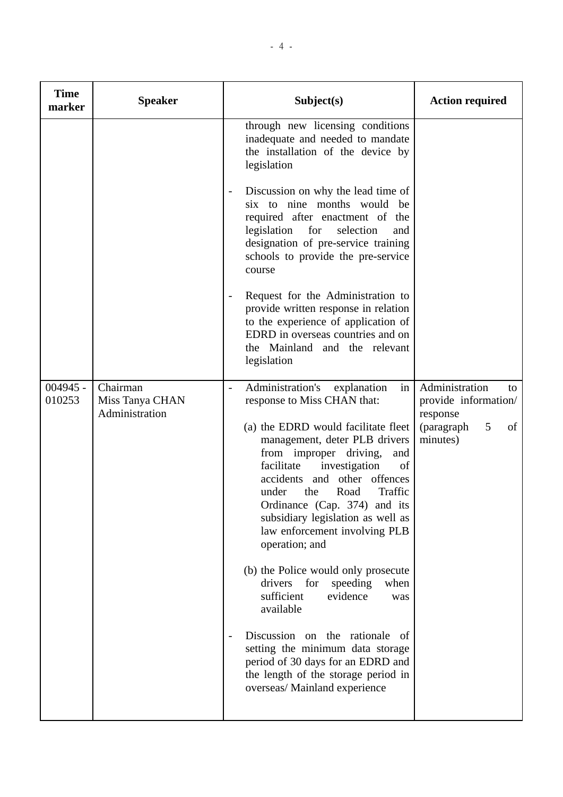| <b>Time</b><br>marker | <b>Speaker</b>                                | Subject(s)                                                                                                                                                                                                                                                                                                                                                                                                                                                                                                                                                                                                                                                                                                                                                           | <b>Action required</b>                                                                                      |
|-----------------------|-----------------------------------------------|----------------------------------------------------------------------------------------------------------------------------------------------------------------------------------------------------------------------------------------------------------------------------------------------------------------------------------------------------------------------------------------------------------------------------------------------------------------------------------------------------------------------------------------------------------------------------------------------------------------------------------------------------------------------------------------------------------------------------------------------------------------------|-------------------------------------------------------------------------------------------------------------|
|                       |                                               | through new licensing conditions<br>inadequate and needed to mandate<br>the installation of the device by<br>legislation                                                                                                                                                                                                                                                                                                                                                                                                                                                                                                                                                                                                                                             |                                                                                                             |
|                       |                                               | Discussion on why the lead time of<br>six to nine months would be<br>required after enactment of the<br>legislation for<br>selection<br>and<br>designation of pre-service training<br>schools to provide the pre-service<br>course                                                                                                                                                                                                                                                                                                                                                                                                                                                                                                                                   |                                                                                                             |
|                       |                                               | Request for the Administration to<br>$\qquad \qquad -$<br>provide written response in relation<br>to the experience of application of<br>EDRD in overseas countries and on<br>the Mainland and the relevant<br>legislation                                                                                                                                                                                                                                                                                                                                                                                                                                                                                                                                           |                                                                                                             |
| $004945 -$<br>010253  | Chairman<br>Miss Tanya CHAN<br>Administration | Administration's<br>explanation<br>in<br>$\blacksquare$<br>response to Miss CHAN that:<br>(a) the EDRD would facilitate fleet<br>management, deter PLB drivers<br>from improper driving,<br>and<br>facilitate<br>investigation<br>of<br>accidents and other offences<br>under<br>Road<br>Traffic<br>the<br>Ordinance (Cap. 374) and its<br>subsidiary legislation as well as<br>law enforcement involving PLB<br>operation; and<br>(b) the Police would only prosecute<br>drivers for<br>speeding<br>when<br>sufficient<br>evidence<br>was<br>available<br>Discussion on the rationale<br>- of<br>$\qquad \qquad -$<br>setting the minimum data storage<br>period of 30 days for an EDRD and<br>the length of the storage period in<br>overseas/ Mainland experience | Administration<br>to<br>provide information/<br>response<br>$5\overline{)}$<br>(paragraph<br>of<br>minutes) |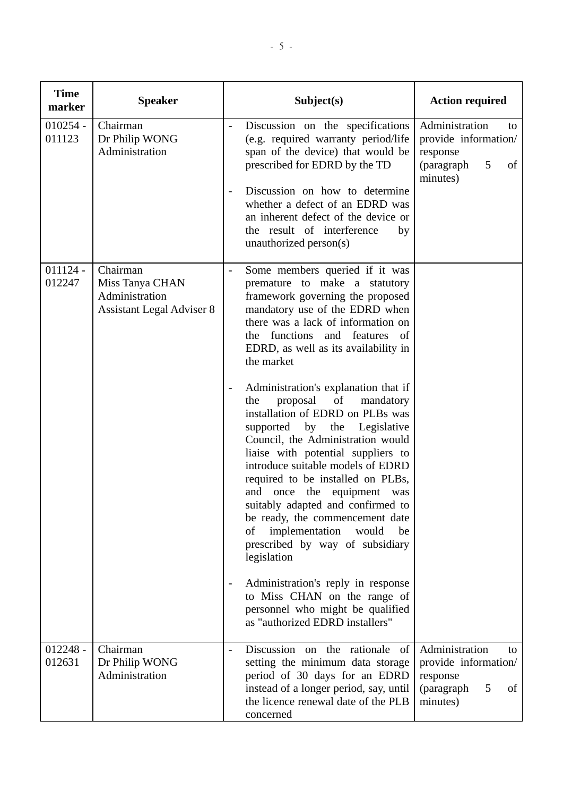| <b>Time</b><br>marker | <b>Speaker</b>                                                                    | Subject(s)                                                                                                                                                                                                                                                                                                                                                                                                                                           | <b>Action required</b>                                                                                     |
|-----------------------|-----------------------------------------------------------------------------------|------------------------------------------------------------------------------------------------------------------------------------------------------------------------------------------------------------------------------------------------------------------------------------------------------------------------------------------------------------------------------------------------------------------------------------------------------|------------------------------------------------------------------------------------------------------------|
| $010254 -$<br>011123  | Chairman<br>Dr Philip WONG<br>Administration                                      | Discussion on the specifications<br>$\qquad \qquad -$<br>(e.g. required warranty period/life<br>span of the device) that would be<br>prescribed for EDRD by the TD<br>Discussion on how to determine<br>$\overline{\phantom{0}}$<br>whether a defect of an EDRD was<br>an inherent defect of the device or<br>the result of interference<br>by<br>unauthorized person(s)                                                                             | Administration<br>to<br>provide information/<br>response<br>5 <sup>5</sup><br>(paragraph<br>of<br>minutes) |
| $011124 -$<br>012247  | Chairman<br>Miss Tanya CHAN<br>Administration<br><b>Assistant Legal Adviser 8</b> | Some members queried if it was<br>premature to make a statutory<br>framework governing the proposed<br>mandatory use of the EDRD when<br>there was a lack of information on<br>the functions and features of<br>EDRD, as well as its availability in<br>the market<br>Administration's explanation that if<br>$\overline{\phantom{0}}$                                                                                                               |                                                                                                            |
|                       |                                                                                   | proposal of mandatory<br>the<br>installation of EDRD on PLBs was<br>supported by the Legislative<br>Council, the Administration would<br>liaise with potential suppliers to<br>introduce suitable models of EDRD<br>required to be installed on PLBs,<br>and once the equipment was<br>suitably adapted and confirmed to<br>be ready, the commencement date<br>implementation<br>of<br>would<br>be<br>prescribed by way of subsidiary<br>legislation |                                                                                                            |
|                       |                                                                                   | Administration's reply in response<br>$\overline{\phantom{a}}$<br>to Miss CHAN on the range of<br>personnel who might be qualified<br>as "authorized EDRD installers"                                                                                                                                                                                                                                                                                |                                                                                                            |
| $012248 -$<br>012631  | Chairman<br>Dr Philip WONG<br>Administration                                      | Discussion on the rationale of<br>$\overline{a}$<br>setting the minimum data storage<br>period of 30 days for an EDRD<br>instead of a longer period, say, until<br>the licence renewal date of the PLB<br>concerned                                                                                                                                                                                                                                  | Administration<br>to<br>provide information/<br>response<br>(paragraph<br>5<br>of<br>minutes)              |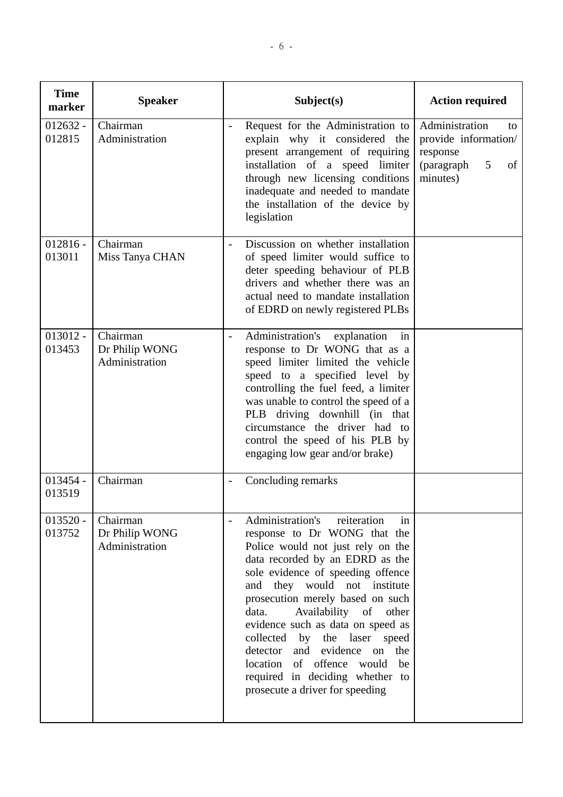| <b>Time</b><br>marker | <b>Speaker</b>                               | Subject(s)                                                                                                                                                                                                                                                                                                                                                                                                                                                                                                   | <b>Action required</b>                                                                        |
|-----------------------|----------------------------------------------|--------------------------------------------------------------------------------------------------------------------------------------------------------------------------------------------------------------------------------------------------------------------------------------------------------------------------------------------------------------------------------------------------------------------------------------------------------------------------------------------------------------|-----------------------------------------------------------------------------------------------|
| $012632 -$<br>012815  | Chairman<br>Administration                   | Request for the Administration to<br>explain why it considered the<br>present arrangement of requiring<br>installation of a speed limiter<br>through new licensing conditions<br>inadequate and needed to mandate<br>the installation of the device by<br>legislation                                                                                                                                                                                                                                        | Administration<br>to<br>provide information/<br>response<br>(paragraph<br>5<br>of<br>minutes) |
| $012816 -$<br>013011  | Chairman<br>Miss Tanya CHAN                  | Discussion on whether installation<br>of speed limiter would suffice to<br>deter speeding behaviour of PLB<br>drivers and whether there was an<br>actual need to mandate installation<br>of EDRD on newly registered PLBs                                                                                                                                                                                                                                                                                    |                                                                                               |
| $013012 -$<br>013453  | Chairman<br>Dr Philip WONG<br>Administration | Administration's<br>explanation<br>in<br>$\overline{\phantom{0}}$<br>response to Dr WONG that as a<br>speed limiter limited the vehicle<br>speed to a specified level by<br>controlling the fuel feed, a limiter<br>was unable to control the speed of a<br>PLB driving downhill (in that<br>circumstance the driver had to<br>control the speed of his PLB by<br>engaging low gear and/or brake)                                                                                                            |                                                                                               |
| $013454 -$<br>013519  | Chairman                                     | Concluding remarks                                                                                                                                                                                                                                                                                                                                                                                                                                                                                           |                                                                                               |
| $013520 -$<br>013752  | Chairman<br>Dr Philip WONG<br>Administration | Administration's<br>reiteration<br>in<br>response to Dr WONG that the<br>Police would not just rely on the<br>data recorded by an EDRD as the<br>sole evidence of speeding offence<br>they would not institute<br>and<br>prosecution merely based on such<br>Availability of other<br>data.<br>evidence such as data on speed as<br>by the laser speed<br>collected<br>detector and evidence on the<br>location of offence would<br>be<br>required in deciding whether to<br>prosecute a driver for speeding |                                                                                               |